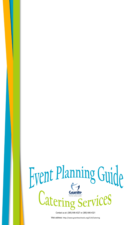

Contact us at: (385) 646-4327 or (385) 646-4321

Web address: http://www.graniteschools.org/C14/Catering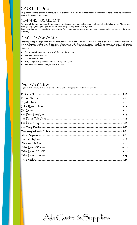# **OUR PLEDGE**

We guarantee your total satisfaction with your event. If for any reason you are not completely satisfied with our product and service, we will happily replace the item or refund your money.

### PLANNING YOUR EVENT

The menu selections and services in this guide are the most frequently requested, and represent merely a sampling of what we can do. Whether you are planning a simple gathering or a special event, we will be happy to help you with the arrangements.

Room reservations are the responsibility of the requestor. Room preparation and set-up may take up to an hour to complete, so please schedule rooms accordingly.

### PLACING YOUR ORDER

Please help us help you by providing at least a 48 hour advance notice for food orders, and a 24 hour notice for snacks and beverages. We will make every effort to accommodate orders with less notice, but may need to restrict the menu to product on hand. Special orders and events with a large number of guests require as much notice as possible. It is extremely helpful if, at the time of booking your event, you are prepared to share the following information:

- Type of event with service needs *(served/buffet, drop off/waited, etc.),*
- Approximate number of guests,
- Time and location of event,
- Billing arrangements *(Department number or billing method), and*
- *Any other special arrangements you need us to know.*

### PARTY SUPPLIES

*For your 'pot luck' functions, etc. Also available in bulk. Please call the catering office for quantities and price breaks.*

Ala Cartè & Supplies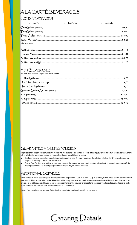# A LA CARTÈ BEVERAGES

### COLD BEVERAGES

| Iced Tea<br>$\bullet$ | $\bullet$ Fruit Punch | Lemonade |
|-----------------------|-----------------------|----------|
|                       |                       |          |
|                       |                       |          |
|                       |                       |          |
|                       |                       |          |
| *price is per person  |                       |          |

### HOT BEVERAGES

We offer fresh brewed regular and decaf coffee.

## GUARANTEE & BILLING POLICIES

To professionally prepare for each guest, we require that you guarantee the number of guests attending your event at least 24 hours in advance. Events will be billed at the guaranteed number or the actual number served, whichever is greater.

- Due to our advance preparation, cancellations must be made at least 24 hours in advance. Cancellations with less than 24 hour notice may be subject to a fee of up to 100% of the original order.
- Granite Food Services must retrieve all catering equipment. If you move any equipment from the delivery location, please immediately notify the catering department. Any catering equipment not recovered may be billed to your order.

## ADDITIONAL SERVICES

There may be an added labor charge for events scheduled to begin before 6:00 a.m. or after 4:00 p.m. or on days when school is not in session, such as weekends, holidays, and vacation breaks. All services will be set up with paper and plastic-ware unless otherwise specified. China and linen service is available at an additional cost. Flowers and/or special decorations can be provided for an additional charge as well. Special equipment rental or professional attendants are available at an additional rate with a 72 hour notice.

\*some of our menu items can be made Gluten free if requested at an additional cost of \$1.00 per person.

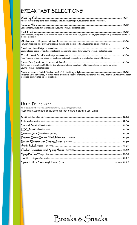# BREAKFAST SELECTIONS

| Assorted pastries or bagels and cream cheese (low-fat available upon request), house coffee, tea and bottled juices.                                                               |  |
|------------------------------------------------------------------------------------------------------------------------------------------------------------------------------------|--|
| Seasonal fresh cut fruit platter, assorted pastries, gourmet coffee, tea and bottled juices.                                                                                       |  |
| Seasonal fresh cut fruit platter, bagels with low-fat cream cheese, hard boiled eggs, assorted low fat yogurts and granola, gourmet coffee, tea and bot-<br>tled juice assortment. |  |
| Fluffy scrambled eggs, hash browns, crisp bacon & Sausage links, assorted pastries, house coffee, tea and bottled juices.                                                          |  |
| Scrambled eggs, roasted new potatoes, crisp bacon & sausage links, biscuits & gravy, gourmet coffee, tea and bottled juices.                                                       |  |
| French Toast, scrambled eggs roasted new potatoes, crisp bacon & sausage links, gourmet coffee, tea and bottled juices.                                                            |  |
| Build to order or premade breakfast burrito, filled with scrambled eggs, crispy bacon, refried beans, cheese, and roasted red potato,<br>Gourmet coffee, tea and bottled juices.   |  |
| $M_{\odot}$ determine Oughst Station (at $\epsilon$ E $\epsilon$ building and $\Lambda$                                                                                            |  |

Made to order Omelet Station (at GEC building only) ........................................................................... \$7.50 The perfect way to start your day. A custom made to order omelet prepared by one of our chefs right in front of you. It comes with hash browns, bacon or sausage, gourmet coffee, tea and bottled juices

### HORS D'OEUVRES

*The hors d'oeuvres listed below are based on market pricing and have a 10 person minimum.*  Please call Catering for a consultation. We look forward to planning your event!

# Breaks & Snacks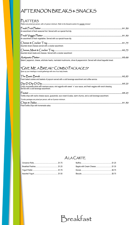## AFTERNOON BREAKS & SNACKS

### PLATTERS

*Platters are priced per person, with a 6 person minimum. Refer to the Desserts section for sweeter choices!*

| An assortment of fresh seasonal fruit. Served with our special fruit dip.                                                    |  |
|------------------------------------------------------------------------------------------------------------------------------|--|
|                                                                                                                              |  |
| An assortment of fresh vegetables. Served with our special house dip.                                                        |  |
|                                                                                                                              |  |
| Assorted sliced cheeses served with a cracker assortment.                                                                    |  |
|                                                                                                                              |  |
| Assorted sliced meats and cheeses. Served with a cracker assortment                                                          |  |
|                                                                                                                              |  |
| Salami, pepperoni, cheese, artichoke hearts, marinated mushrooms, olives & pepperonicini. Served with sliced baguette bread. |  |

## "GIVE ME A BREAK" COMBO PACKAGES\*

*Spice up your meetings or social gatherings with one of our tasty breaks.*

| Fresh baked cookies and baskets of popcorn served with a cold beverage assortment and coffee service.                |  |
|----------------------------------------------------------------------------------------------------------------------|--|
|                                                                                                                      |  |
| Served with a cold beverage assortment.                                                                              |  |
|                                                                                                                      |  |
| Tortilla chips with nacho cheese sauce, guacamole, sour cream & salsa, warm churros, and a cold beverage assortment. |  |
| *Combo packages are priced per person, with an 8 person minimum.                                                     |  |
|                                                                                                                      |  |
|                                                                                                                      |  |

## A LA CARTE

Breakfast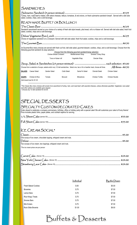### **SANDWICHES**

|         | salad, cookies, chips, and a cold beverage.  |                                 |                                                            |                    |                                                                                                                                   | Turkey, ham, roast beef or Italian, with select cheeses, lettuce, tomatoes, & red onions, on fresh submarine sandwich bread! . Served with a deli side           |
|---------|----------------------------------------------|---------------------------------|------------------------------------------------------------|--------------------|-----------------------------------------------------------------------------------------------------------------------------------|------------------------------------------------------------------------------------------------------------------------------------------------------------------|
|         |                                              | READY-MADE BUFFET OR BOX LUNCH  |                                                            |                    |                                                                                                                                   |                                                                                                                                                                  |
|         |                                              |                                 |                                                            |                    |                                                                                                                                   |                                                                                                                                                                  |
|         | salad, cookies, chips and a cold beverage.   |                                 |                                                            |                    |                                                                                                                                   | Sandwich assortment served on your choice of a variety of fresh deli style breads, pita bread, roll or a Kaiser roll. Served with deli side salad, fresh fruit   |
|         |                                              |                                 |                                                            |                    | Choice of vegetarian sandwich on a croissant. Served with deli side salad, fresh fruit salad, cookies, chips and a cold beverage. |                                                                                                                                                                  |
|         |                                              |                                 |                                                            |                    |                                                                                                                                   |                                                                                                                                                                  |
|         |                                              |                                 |                                                            |                    |                                                                                                                                   |                                                                                                                                                                  |
|         | following gourmet sandwich & wrap selection: |                                 |                                                            |                    |                                                                                                                                   | All Gourmet Box menu choices are served with fresh cut fruit, deli side salad, gourmet dessert, cookies, chips, and a cold beverage. Choose from the             |
|         |                                              |                                 | Choose from the following gourmet sandwich/wrap selection: |                    |                                                                                                                                   |                                                                                                                                                                  |
|         |                                              | <b>Chicken Breast Croissant</b> |                                                            | Mediterranean Wrap | Smoked Turkey Wrap                                                                                                                |                                                                                                                                                                  |
|         |                                              |                                 | Tuna on Kaiser roll <b>Sand Contact Vegetable Wrap</b>     |                    | Grecian Wrap                                                                                                                      |                                                                                                                                                                  |
|         |                                              |                                 |                                                            |                    |                                                                                                                                   |                                                                                                                                                                  |
|         |                                              |                                 |                                                            |                    |                                                                                                                                   | Choose from a selection of soups, salads and/or any 1/2 deli sandwiches. Select one, two or for a heartier meal, choose all three. $\mathsf{All}$ three --\$8.50 |
| SALADS: | Caesar Salad                                 | Garden Salad                    | Cobb Salad                                                 | Santa Fe Salad     | <b>Oriental Salad</b>                                                                                                             | <b>Chicken Salad</b>                                                                                                                                             |
| SOUPS:  | Chicken & Rice                               | Tomato                          | Broccoli                                                   | Minestrone         | Chicken Tortilla                                                                                                                  | Chicken Noodle                                                                                                                                                   |

*\*The Classic Box menu choices will consist of an assortment of turkey, ham, and roast beef, with assorted cheeses, unless otherwise specified. Vegetarian, tuna salad and other options are available upon request. ~Choose any 1/2 deli sandwich for \$3.00.*

*Add bread bowl for \$1.25.*

## SPECIAL DESSERTS SPECIALTY CUSTOM-DECORATED CAKES

Order ahead to celebrate a company anniversary, birthday, office or holiday party with a special cake! We will customize your cake to fit any theme! Price includes plastic forks, paper plates, and cocktail napkins for serving.

## ICE CREAM SOCIAL\*

| One scoop of ice cream, chocolate topping, whipped cream and nuts. |  |
|--------------------------------------------------------------------|--|
|                                                                    |  |
| Two scoops of ice cream, two toppings, whipped cream and nuts.     |  |
| *The ice cream prices are per person                               |  |

|                            | Individual | By the Dozen |
|----------------------------|------------|--------------|
| <b>Fresh Baked Cookies</b> | \$.50      | \$5.00       |
| <b>Brownies</b>            | \$.75      | \$7.50       |
| Lemon Bars                 | \$.75      | \$7.50       |
| <b>Rice Krispy Treats</b>  | \$.75      | \$7.50       |
| Smores Bars                | \$.75      | \$7.50       |
| Mini Eclairs               | \$.75      | \$7.50       |
| Rock Slide Brownie         | \$1.00     | \$9.00       |

Buffets & Desserts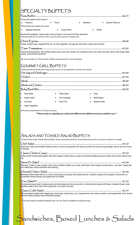# **SPECIALTY BUFFETS**

| Choose one pastas and two sauces*:        |                                                                                                                                                                                             |            |                    |  |
|-------------------------------------------|---------------------------------------------------------------------------------------------------------------------------------------------------------------------------------------------|------------|--------------------|--|
| Fettuccini                                | Penne<br>$\bullet$                                                                                                                                                                          | Radiattore | Spinach Fettuccini |  |
| *Whole wheat pasta available upon request |                                                                                                                                                                                             |            |                    |  |
| Vegetarian Marinara                       | Creamy Pesto<br>$\bullet$                                                                                                                                                                   |            | Alfredo            |  |
|                                           | Served with breadsticks, Caesar salad, choice of dessert, and canned soft drink assortment.<br>*Add ground beef (\$.75) or chicken (\$1.25) to any of the above sauces for a heartier meal. |            |                    |  |
|                                           | Teriyaki chicken breast, vegetable fried rice, stir fried vegetables, and egg rolls with fortune cookies and soft drinks.                                                                   |            |                    |  |
|                                           |                                                                                                                                                                                             |            |                    |  |

Oversized baked potatoes, with cheddar cheese sauce, bacon bits, western chili, steamed broccoli, sour cream and salsa. Served with Caesar salad, cookies, and soft drink assortment.

*\*Be sure to ask about our "Theme Cuisine" exhibition cooking specials for a real crowd pleaser.*

### GOURMET GRILL BUFFETS

*Themed Cookouts served with all the fixings and your choice of 2 accompaniments, soft drinks and a dessert.*

| Pasta Salad<br>$\bullet$  |   | Potato Salad          |           | Chips                |
|---------------------------|---|-----------------------|-----------|----------------------|
| $\bullet$<br>Garden Salad |   | <b>Corn Cobbettes</b> | $\bullet$ | <b>Baked Beans</b>   |
| Cole Slaw                 | ٠ | Fresh Fruit           | $\bullet$ | <b>Mashed Potato</b> |

Grilled Vegetables

*ADD extra accompaniments for \$1.00 each, per person:*

*\*\*\*Please contact us regarding your school lunch BBQ we have additional recourses available to you.\*\*\**

### SALADS AND TOSSED SALAD BUFFETS

*\*All salad entrees include a freshly baked breadstick, dessert, and assorted soft drinks. All prices listed are per person, and require a minimum of 10 people.*

### Chef Salad ............................................................................................................................................................ \$7.25 Sliced ham, turkey and shredded cheddar served on a bed of mixed greens with sliced cucumber and tomato and egg wedges. Served with your choice of dressing. Classic Chicken Caesar .................................................................................................................................... \$7.25 Grilled chicken breast tossed together with fresh chopped romaine lettuce, croutons and freshly shredded parmesan cheese. Served with Caesar dressing. Sante Fe Salad ................................................................................................................................................... \$7.50 Marinated chicken or beef, avocado, black olives, shredded cheddar, sour cream, black beans, fresh chopped romaine lettuce, and salsa. Topped with corn tortilla strips. Served with Mexi ranch dressing. Oriental Chicken Salad ..................................................................................................................................... \$7.50 Marinated chicken breast served on a bed of mixed greens and topped with toasted almonds, mandarin oranges and red peppers. Served with our housemade oriental dressing, and topped with rice noodles. Taco Salad\*\*\* ....................................................................................................................................................... \$7.75 Hot seasoned ground beef or barbacoa pork and refried beans and lime rice served in a tortilla shell and topped with lettuce, shredded cheese, diced tomatoes, green onions, black olives, guacamole, sour cream and salsa. Classic Cobb Salad ........................................................................................................................................... \$7.75 Grill mixed greens topped with chopped egg, diced tomato, diced turkey, corn, chopped bacon, bleu cheese crumbles, and chopped black olives. Served with blue cheese dressing unless otherwise requested.

Sandwiches, Boxed Lunches & Salads

*\*\*\* The above salads are available individually boxed. The Taco Salad is unavailable for individual servings.*